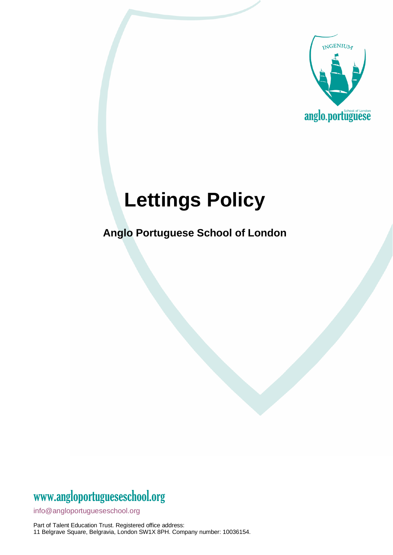

# **Lettings Policy**

**Anglo Portuguese School of London**

# www[.angloportugueseschool.org](https://angloportugueseschool.org/)

[info@a](mailto:info@)ngloportugueseschool.org

Part of Talent Education Trust. Registered office address: 11 Belgrave Square, Belgravia, London SW1X 8PH. Company number: 10036154.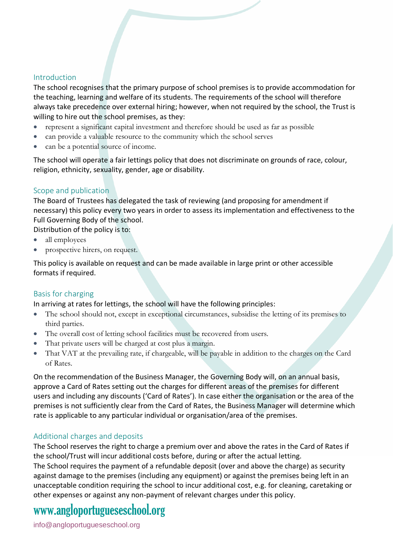#### Introduction

The school recognises that the primary purpose of school premises is to provide accommodation for the teaching, learning and welfare of its students. The requirements of the school will therefore always take precedence over external hiring; however, when not required by the school, the Trust is willing to hire out the school premises, as they:

- represent a significant capital investment and therefore should be used as far as possible
- can provide a valuable resource to the community which the school serves
- can be a potential source of income.

The school will operate a fair lettings policy that does not discriminate on grounds of race, colour, religion, ethnicity, sexuality, gender, age or disability.

#### Scope and publication

The Board of Trustees has delegated the task of reviewing (and proposing for amendment if necessary) this policy every two years in order to assess its implementation and effectiveness to the Full Governing Body of the school.

Distribution of the policy is to:

- all employees
- prospective hirers, on request.

This policy is available on request and can be made available in large print or other accessible formats if required.

#### Basis for charging

In arriving at rates for lettings, the school will have the following principles:

- The school should not, except in exceptional circumstances, subsidise the letting of its premises to third parties.
- The overall cost of letting school facilities must be recovered from users.
- That private users will be charged at cost plus a margin.
- That VAT at the prevailing rate, if chargeable, will be payable in addition to the charges on the Card of Rates.

On the recommendation of the Business Manager, the Governing Body will, on an annual basis, approve a Card of Rates setting out the charges for different areas of the premises for different users and including any discounts ('Card of Rates'). In case either the organisation or the area of the premises is not sufficiently clear from the Card of Rates, the Business Manager will determine which rate is applicable to any particular individual or organisation/area of the premises.

#### Additional charges and deposits

The School reserves the right to charge a premium over and above the rates in the Card of Rates if the school/Trust will incur additional costs before, during or after the actual letting. The School requires the payment of a refundable deposit (over and above the charge) as security against damage to the premises (including any equipment) or against the premises being left in an unacceptable condition requiring the school to incur additional cost, e.g. for cleaning, caretaking or other expenses or against any non-payment of relevant charges under this policy.

### www[.angloportugueseschool.org](https://angloportugueseschool.org/)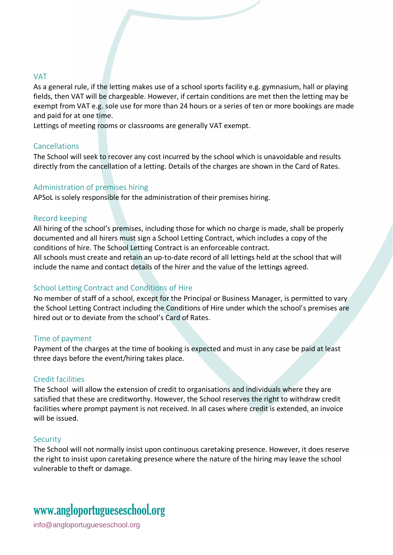#### VAT

As a general rule, if the letting makes use of a school sports facility e.g. gymnasium, hall or playing fields, then VAT will be chargeable. However, if certain conditions are met then the letting may be exempt from VAT e.g. sole use for more than 24 hours or a series of ten or more bookings are made and paid for at one time.

Lettings of meeting rooms or classrooms are generally VAT exempt.

#### Cancellations

The School will seek to recover any cost incurred by the school which is unavoidable and results directly from the cancellation of a letting. Details of the charges are shown in the Card of Rates.

#### Administration of premises hiring

APSoL is solely responsible for the administration of their premises hiring.

#### Record keeping

All hiring of the school's premises, including those for which no charge is made, shall be properly documented and all hirers must sign a School Letting Contract, which includes a copy of the conditions of hire. The School Letting Contract is an enforceable contract.

All schools must create and retain an up-to-date record of all lettings held at the school that will include the name and contact details of the hirer and the value of the lettings agreed.

#### School Letting Contract and Conditions of Hire

No member of staff of a school, except for the Principal or Business Manager, is permitted to vary the School Letting Contract including the Conditions of Hire under which the school's premises are hired out or to deviate from the school's Card of Rates.

#### Time of payment

Payment of the charges at the time of booking is expected and must in any case be paid at least three days before the event/hiring takes place.

#### Credit facilities

The School will allow the extension of credit to organisations and individuals where they are satisfied that these are creditworthy. However, the School reserves the right to withdraw credit facilities where prompt payment is not received. In all cases where credit is extended, an invoice will be issued.

#### Security

The School will not normally insist upon continuous caretaking presence. However, it does reserve the right to insist upon caretaking presence where the nature of the hiring may leave the school vulnerable to theft or damage.

### www[.angloportugueseschool.org](https://angloportugueseschool.org/)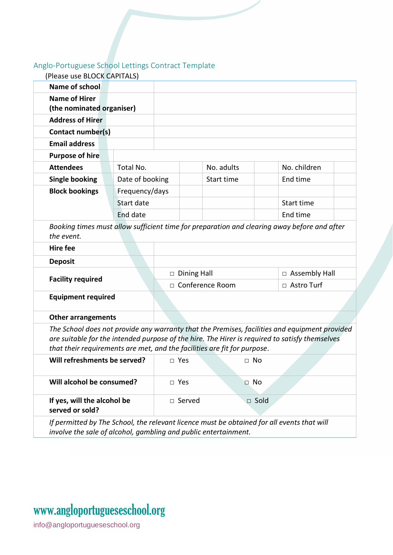### Anglo-Portuguese School Lettings Contract Template

| (Please use BLOCK CAPITALS)                                                                                                                                   |                 |                    |            |             |                      |
|---------------------------------------------------------------------------------------------------------------------------------------------------------------|-----------------|--------------------|------------|-------------|----------------------|
| Name of school                                                                                                                                                |                 |                    |            |             |                      |
| <b>Name of Hirer</b>                                                                                                                                          |                 |                    |            |             |                      |
| (the nominated organiser)                                                                                                                                     |                 |                    |            |             |                      |
| <b>Address of Hirer</b>                                                                                                                                       |                 |                    |            |             |                      |
| Contact number(s)                                                                                                                                             |                 |                    |            |             |                      |
| <b>Email address</b>                                                                                                                                          |                 |                    |            |             |                      |
| <b>Purpose of hire</b>                                                                                                                                        |                 |                    |            |             |                      |
| <b>Attendees</b>                                                                                                                                              | Total No.       |                    |            | No. adults  | No. children         |
| <b>Single booking</b>                                                                                                                                         | Date of booking |                    | Start time |             | End time             |
| <b>Block bookings</b>                                                                                                                                         | Frequency/days  |                    |            |             |                      |
|                                                                                                                                                               | Start date      |                    |            |             | Start time           |
|                                                                                                                                                               | End date        |                    |            |             | End time             |
| Booking times must allow sufficient time for preparation and clearing away before and after                                                                   |                 |                    |            |             |                      |
| the event.                                                                                                                                                    |                 |                    |            |             |                      |
| <b>Hire fee</b>                                                                                                                                               |                 |                    |            |             |                      |
| <b>Deposit</b>                                                                                                                                                |                 |                    |            |             |                      |
| <b>Facility required</b>                                                                                                                                      |                 | $\Box$ Dining Hall |            |             | $\Box$ Assembly Hall |
|                                                                                                                                                               |                 | □ Conference Room  |            |             | □ Astro Turf         |
| <b>Equipment required</b>                                                                                                                                     |                 |                    |            |             |                      |
| <b>Other arrangements</b>                                                                                                                                     |                 |                    |            |             |                      |
| The School does not provide any warranty that the Premises, facilities and equipment provided                                                                 |                 |                    |            |             |                      |
| are suitable for the intended purpose of the hire. The Hirer is required to satisfy themselves                                                                |                 |                    |            |             |                      |
| that their requirements are met, and the facilities are fit for purpose.                                                                                      |                 |                    |            |             |                      |
| Will refreshments be served?                                                                                                                                  |                 |                    | $\Box$ Yes | $\Box$ No   |                      |
| Will alcohol be consumed?                                                                                                                                     |                 |                    | □ Yes      | $\Box$ No   |                      |
| If yes, will the alcohol be<br>served or sold?                                                                                                                |                 |                    | □ Served   | $\Box$ Sold |                      |
| If permitted by The School, the relevant licence must be obtained for all events that will<br>involve the sale of alcohol, gambling and public entertainment. |                 |                    |            |             |                      |

# www[.angloportugueseschool.org](https://angloportugueseschool.org/)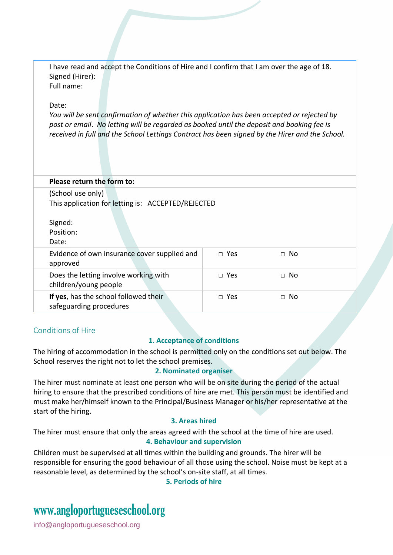I have read and accept the Conditions of Hire and I confirm that I am over the age of 18. Signed (Hirer): Full name: Date: *You will be sent confirmation of whether this application has been accepted or rejected by post or email*. *No letting will be regarded as booked until the deposit and booking fee is received in full and the School Lettings Contract has been signed by the Hirer and the School.* **Please return the form to:** (School use only) This application for letting is: ACCEPTED/REJECTED Signed: Position: Date: Evidence of own insurance cover supplied and approved □ Yes □ No Does the letting involve working with children/young people □ Yes □ No **If yes**, has the school followed their safeguarding procedures □ Yes □ No

#### Conditions of Hire

#### **1. Acceptance of conditions**

The hiring of accommodation in the school is permitted only on the conditions set out below. The School reserves the right not to let the school premises.

#### **2. Nominated organiser**

The hirer must nominate at least one person who will be on site during the period of the actual hiring to ensure that the prescribed conditions of hire are met. This person must be identified and must make her/himself known to the Principal/Business Manager or his/her representative at the start of the hiring.

#### **3. Areas hired**

The hirer must ensure that only the areas agreed with the school at the time of hire are used. **4. Behaviour and supervision**

Children must be supervised at all times within the building and grounds. The hirer will be responsible for ensuring the good behaviour of all those using the school. Noise must be kept at a reasonable level, as determined by the school's on-site staff, at all times.

**5. Periods of hire**

# www[.angloportugueseschool.org](https://angloportugueseschool.org/)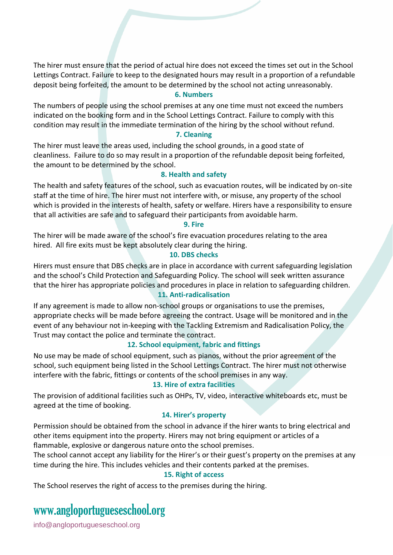The hirer must ensure that the period of actual hire does not exceed the times set out in the School Lettings Contract. Failure to keep to the designated hours may result in a proportion of a refundable deposit being forfeited, the amount to be determined by the school not acting unreasonably.

#### **6. Numbers**

The numbers of people using the school premises at any one time must not exceed the numbers indicated on the booking form and in the School Lettings Contract. Failure to comply with this condition may result in the immediate termination of the hiring by the school without refund.

#### **7. Cleaning**

The hirer must leave the areas used, including the school grounds, in a good state of cleanliness. Failure to do so may result in a proportion of the refundable deposit being forfeited, the amount to be determined by the school.

#### **8. Health and safety**

The health and safety features of the school, such as evacuation routes, will be indicated by on-site staff at the time of hire. The hirer must not interfere with, or misuse, any property of the school which is provided in the interests of health, safety or welfare. Hirers have a responsibility to ensure that all activities are safe and to safeguard their participants from avoidable harm.

#### **9. Fire**

The hirer will be made aware of the school's fire evacuation procedures relating to the area hired. All fire exits must be kept absolutely clear during the hiring.

#### **10. DBS checks**

Hirers must ensure that DBS checks are in place in accordance with current safeguarding legislation and the school's Child Protection and Safeguarding Policy. The school will seek written assurance that the hirer has appropriate policies and procedures in place in relation to safeguarding children.

#### **11. Anti-radicalisation**

If any agreement is made to allow non-school groups or organisations to use the premises, appropriate checks will be made before agreeing the contract. Usage will be monitored and in the event of any behaviour not in-keeping with the Tackling Extremism and Radicalisation Policy, the Trust may contact the police and terminate the contract.

#### **12. School equipment, fabric and fittings**

No use may be made of school equipment, such as pianos, without the prior agreement of the school, such equipment being listed in the School Lettings Contract. The hirer must not otherwise interfere with the fabric, fittings or contents of the school premises in any way.

#### **13. Hire of extra facilities**

The provision of additional facilities such as OHPs, TV, video, interactive whiteboards etc, must be agreed at the time of booking.

#### **14. Hirer's property**

Permission should be obtained from the school in advance if the hirer wants to bring electrical and other items equipment into the property. Hirers may not bring equipment or articles of a flammable, explosive or dangerous nature onto the school premises.

The school cannot accept any liability for the Hirer's or their guest's property on the premises at any time during the hire. This includes vehicles and their contents parked at the premises.

#### **15. Right of access**

The School reserves the right of access to the premises during the hiring.

### www[.angloportugueseschool.org](https://angloportugueseschool.org/)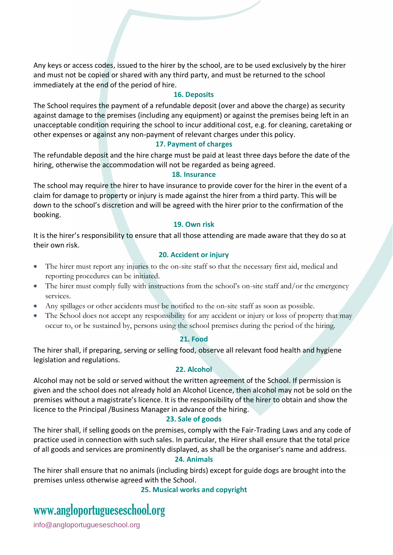Any keys or access codes, issued to the hirer by the school, are to be used exclusively by the hirer and must not be copied or shared with any third party, and must be returned to the school immediately at the end of the period of hire.

#### **16. Deposits**

The School requires the payment of a refundable deposit (over and above the charge) as security against damage to the premises (including any equipment) or against the premises being left in an unacceptable condition requiring the school to incur additional cost, e.g. for cleaning, caretaking or other expenses or against any non-payment of relevant charges under this policy.

#### **17. Payment of charges**

The refundable deposit and the hire charge must be paid at least three days before the date of the hiring, otherwise the accommodation will not be regarded as being agreed.

#### **18. Insurance**

The school may require the hirer to have insurance to provide cover for the hirer in the event of a claim for damage to property or injury is made against the hirer from a third party. This will be down to the school's discretion and will be agreed with the hirer prior to the confirmation of the booking.

#### **19. Own risk**

It is the hirer's responsibility to ensure that all those attending are made aware that they do so at their own risk.

#### **20. Accident or injury**

- The hirer must report any injuries to the on-site staff so that the necessary first aid, medical and reporting procedures can be initiated.
- The hirer must comply fully with instructions from the school's on-site staff and/or the emergency services.
- Any spillages or other accidents must be notified to the on-site staff as soon as possible.
- The School does not accept any responsibility for any accident or injury or loss of property that may occur to, or be sustained by, persons using the school premises during the period of the hiring.

#### **21. Food**

The hirer shall, if preparing, serving or selling food, observe all relevant food health and hygiene legislation and regulations.

#### **22. Alcohol**

Alcohol may not be sold or served without the written agreement of the School. If permission is given and the school does not already hold an Alcohol Licence, then alcohol may not be sold on the premises without a magistrate's licence. It is the responsibility of the hirer to obtain and show the licence to the Principal /Business Manager in advance of the hiring.

#### **23. Sale of goods**

The hirer shall, if selling goods on the premises, comply with the Fair-Trading Laws and any code of practice used in connection with such sales. In particular, the Hirer shall ensure that the total price of all goods and services are prominently displayed, as shall be the organiser's name and address.

#### **24. Animals**

The hirer shall ensure that no animals (including birds) except for guide dogs are brought into the premises unless otherwise agreed with the School.

**25. Musical works and copyright**

## www[.angloportugueseschool.org](https://angloportugueseschool.org/)